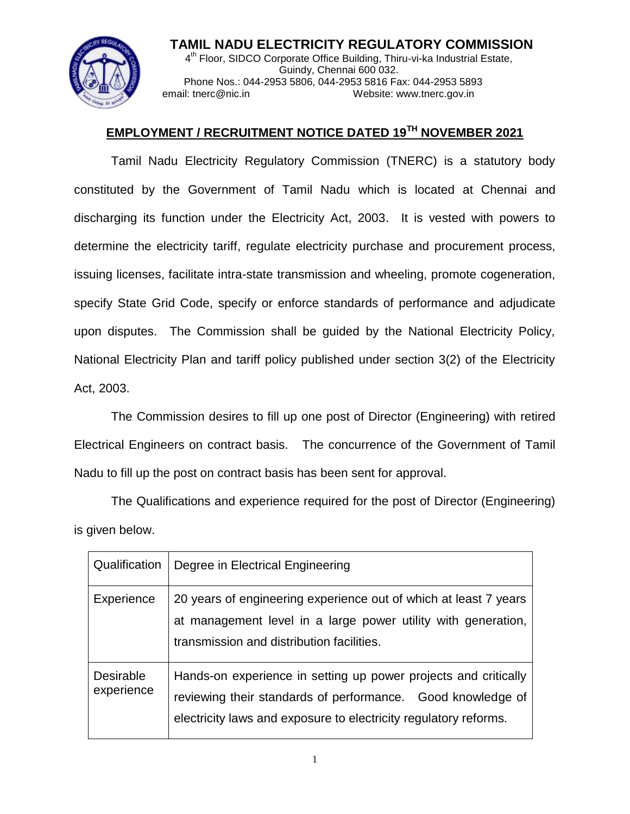

**TAMIL NADU ELECTRICITY REGULATORY COMMISSION** 4<sup>th</sup> Floor, SIDCO Corporate Office Building, Thiru-vi-ka Industrial Estate, Guindy, Chennai 600 032. Phone Nos.: 044-2953 5806, 044-2953 5816 Fax: 044-2953 5893 email: tnerc@nic.in Website: www.tnerc.gov.in

## **EMPLOYMENT / RECRUITMENT NOTICE DATED 19TH NOVEMBER 2021**

Tamil Nadu Electricity Regulatory Commission (TNERC) is a statutory body constituted by the Government of Tamil Nadu which is located at Chennai and discharging its function under the Electricity Act, 2003. It is vested with powers to determine the electricity tariff, regulate electricity purchase and procurement process, issuing licenses, facilitate intra-state transmission and wheeling, promote cogeneration, specify State Grid Code, specify or enforce standards of performance and adjudicate upon disputes. The Commission shall be guided by the National Electricity Policy, National Electricity Plan and tariff policy published under section 3(2) of the Electricity Act, 2003.

The Commission desires to fill up one post of Director (Engineering) with retired Electrical Engineers on contract basis. The concurrence of the Government of Tamil Nadu to fill up the post on contract basis has been sent for approval.

The Qualifications and experience required for the post of Director (Engineering) is given below.

| Qualification                  | Degree in Electrical Engineering                                                                                                                                                                   |
|--------------------------------|----------------------------------------------------------------------------------------------------------------------------------------------------------------------------------------------------|
| Experience                     | 20 years of engineering experience out of which at least 7 years<br>at management level in a large power utility with generation,<br>transmission and distribution facilities.                     |
| <b>Desirable</b><br>experience | Hands-on experience in setting up power projects and critically<br>reviewing their standards of performance. Good knowledge of<br>electricity laws and exposure to electricity regulatory reforms. |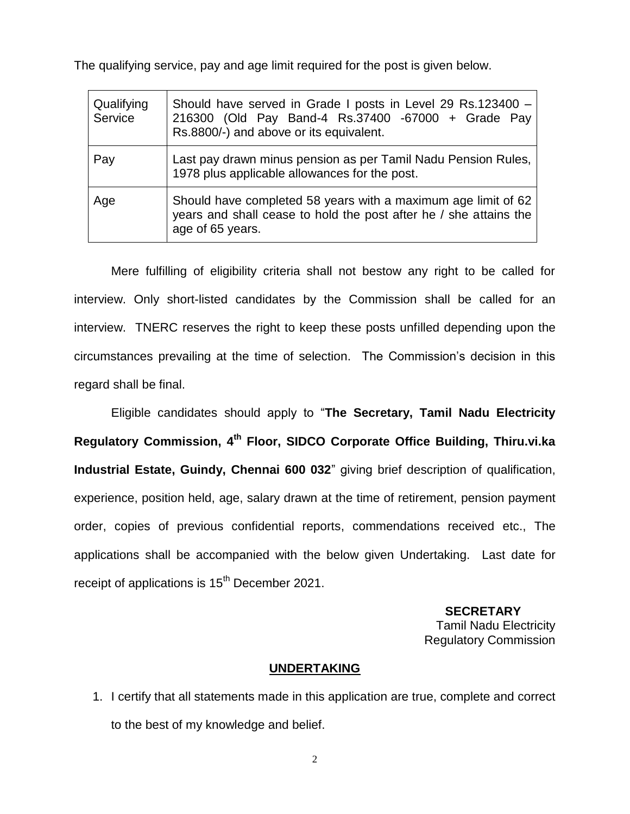The qualifying service, pay and age limit required for the post is given below.

| Qualifying<br>Service | Should have served in Grade I posts in Level 29 Rs.123400 -<br>216300 (Old Pay Band-4 Rs.37400 -67000 + Grade Pay<br>Rs.8800/-) and above or its equivalent. |
|-----------------------|--------------------------------------------------------------------------------------------------------------------------------------------------------------|
| Pay                   | Last pay drawn minus pension as per Tamil Nadu Pension Rules,<br>1978 plus applicable allowances for the post.                                               |
| Age                   | Should have completed 58 years with a maximum age limit of 62<br>years and shall cease to hold the post after he / she attains the<br>age of 65 years.       |

Mere fulfilling of eligibility criteria shall not bestow any right to be called for interview. Only short-listed candidates by the Commission shall be called for an interview. TNERC reserves the right to keep these posts unfilled depending upon the circumstances prevailing at the time of selection. The Commission's decision in this regard shall be final.

Eligible candidates should apply to "**The Secretary, Tamil Nadu Electricity Regulatory Commission, 4 th Floor, SIDCO Corporate Office Building, Thiru.vi.ka Industrial Estate, Guindy, Chennai 600 032**" giving brief description of qualification, experience, position held, age, salary drawn at the time of retirement, pension payment order, copies of previous confidential reports, commendations received etc., The applications shall be accompanied with the below given Undertaking. Last date for receipt of applications is 15<sup>th</sup> December 2021.

> **SECRETARY** Tamil Nadu Electricity Regulatory Commission

## **UNDERTAKING**

1. I certify that all statements made in this application are true, complete and correct to the best of my knowledge and belief.